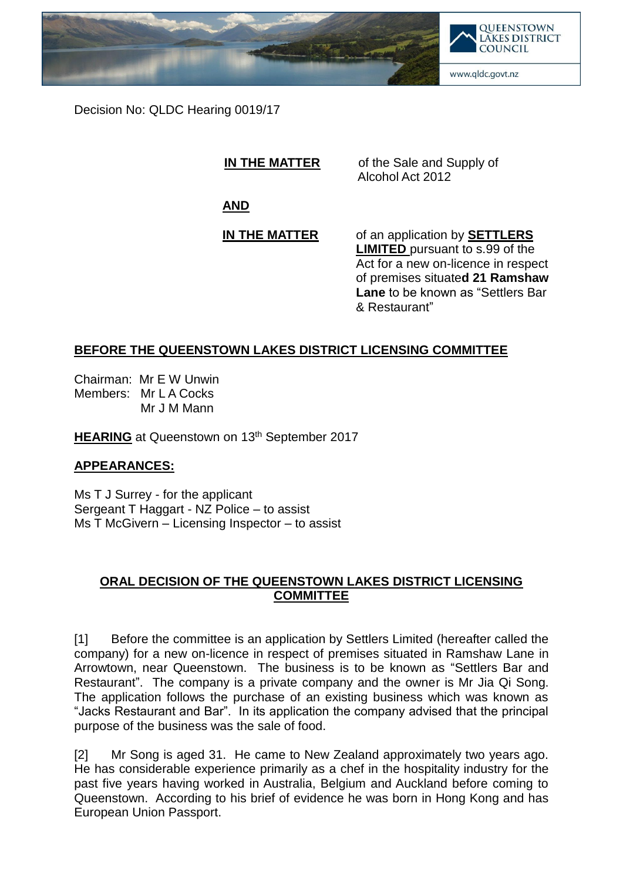

Decision No: QLDC Hearing 0019/17

**IN THE MATTER** of the Sale and Supply of Alcohol Act 2012

**AND**

**IN THE MATTER** of an application by **SETTLERS LIMITED** pursuant to s.99 of the Act for a new on-licence in respect of premises situate**d 21 Ramshaw Lane** to be known as "Settlers Bar & Restaurant"

## **BEFORE THE QUEENSTOWN LAKES DISTRICT LICENSING COMMITTEE**

Chairman: Mr E W Unwin Members: Mr L A Cocks Mr J M Mann

**HEARING** at Queenstown on 13<sup>th</sup> September 2017

## **APPEARANCES:**

Ms T J Surrey - for the applicant Sergeant T Haggart - NZ Police – to assist Ms T McGivern – Licensing Inspector – to assist

## **ORAL DECISION OF THE QUEENSTOWN LAKES DISTRICT LICENSING COMMITTEE**

[1] Before the committee is an application by Settlers Limited (hereafter called the company) for a new on-licence in respect of premises situated in Ramshaw Lane in Arrowtown, near Queenstown. The business is to be known as "Settlers Bar and Restaurant". The company is a private company and the owner is Mr Jia Qi Song. The application follows the purchase of an existing business which was known as "Jacks Restaurant and Bar". In its application the company advised that the principal purpose of the business was the sale of food.

[2] Mr Song is aged 31. He came to New Zealand approximately two years ago. He has considerable experience primarily as a chef in the hospitality industry for the past five years having worked in Australia, Belgium and Auckland before coming to Queenstown. According to his brief of evidence he was born in Hong Kong and has European Union Passport.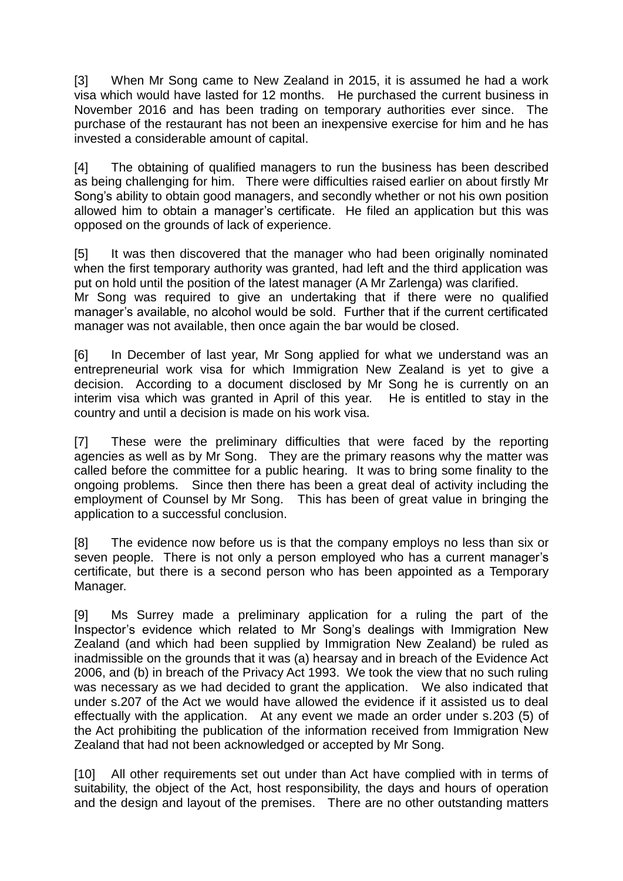[3] When Mr Song came to New Zealand in 2015, it is assumed he had a work visa which would have lasted for 12 months. He purchased the current business in November 2016 and has been trading on temporary authorities ever since. The purchase of the restaurant has not been an inexpensive exercise for him and he has invested a considerable amount of capital.

[4] The obtaining of qualified managers to run the business has been described as being challenging for him. There were difficulties raised earlier on about firstly Mr Song's ability to obtain good managers, and secondly whether or not his own position allowed him to obtain a manager's certificate. He filed an application but this was opposed on the grounds of lack of experience.

[5] It was then discovered that the manager who had been originally nominated when the first temporary authority was granted, had left and the third application was put on hold until the position of the latest manager (A Mr Zarlenga) was clarified.

Mr Song was required to give an undertaking that if there were no qualified manager's available, no alcohol would be sold. Further that if the current certificated manager was not available, then once again the bar would be closed.

[6] In December of last year, Mr Song applied for what we understand was an entrepreneurial work visa for which Immigration New Zealand is yet to give a decision. According to a document disclosed by Mr Song he is currently on an interim visa which was granted in April of this year. He is entitled to stay in the country and until a decision is made on his work visa.

[7] These were the preliminary difficulties that were faced by the reporting agencies as well as by Mr Song. They are the primary reasons why the matter was called before the committee for a public hearing. It was to bring some finality to the ongoing problems. Since then there has been a great deal of activity including the employment of Counsel by Mr Song. This has been of great value in bringing the application to a successful conclusion.

[8] The evidence now before us is that the company employs no less than six or seven people. There is not only a person employed who has a current manager's certificate, but there is a second person who has been appointed as a Temporary Manager.

[9] Ms Surrey made a preliminary application for a ruling the part of the Inspector's evidence which related to Mr Song's dealings with Immigration New Zealand (and which had been supplied by Immigration New Zealand) be ruled as inadmissible on the grounds that it was (a) hearsay and in breach of the Evidence Act 2006, and (b) in breach of the Privacy Act 1993. We took the view that no such ruling was necessary as we had decided to grant the application. We also indicated that under s.207 of the Act we would have allowed the evidence if it assisted us to deal effectually with the application. At any event we made an order under s.203 (5) of the Act prohibiting the publication of the information received from Immigration New Zealand that had not been acknowledged or accepted by Mr Song.

[10] All other requirements set out under than Act have complied with in terms of suitability, the object of the Act, host responsibility, the days and hours of operation and the design and layout of the premises. There are no other outstanding matters